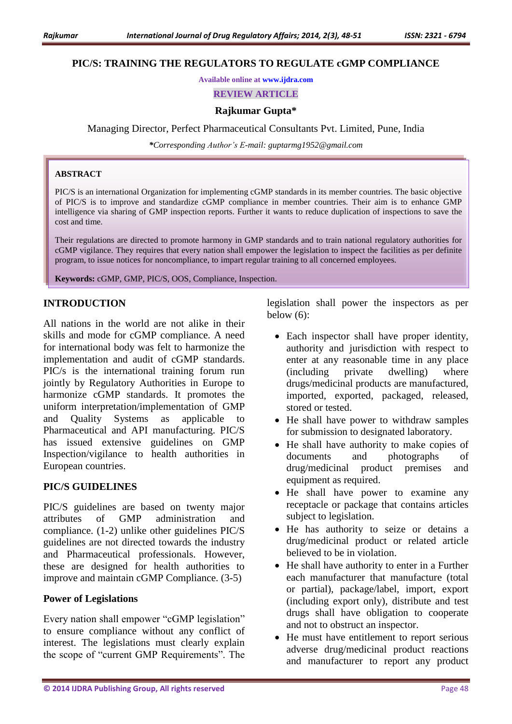#### **PIC/S: TRAINING THE REGULATORS TO REGULATE cGMP COMPLIANCE**

**Available online at [www.ijdra.com](http://www.ijdra.com/)**

**REVIEW ARTICLE**

#### **Rajkumar Gupta\***

Managing Director, Perfect Pharmaceutical Consultants Pvt. Limited, Pune, India

*\*Corresponding Author's E-mail: guptarmg1952@gmail.com*

#### **ABSTRACT**

PIC/S is an international Organization for implementing cGMP standards in its member countries. The basic objective of PIC/S is to improve and standardize cGMP compliance in member countries. Their aim is to enhance GMP intelligence via sharing of GMP inspection reports. Further it wants to reduce duplication of inspections to save the cost and time.

Their regulations are directed to promote harmony in GMP standards and to train national regulatory authorities for cGMP vigilance. They requires that every nation shall empower the legislation to inspect the facilities as per definite program, to issue notices for noncompliance, to impart regular training to all concerned employees.

**Keywords:** cGMP, GMP, PIC/S, OOS, Compliance, Inspection.

#### **INTRODUCTION**

All nations in the world are not alike in their skills and mode for cGMP compliance. A need for international body was felt to harmonize the implementation and audit of cGMP standards. PIC/s is the international training forum run jointly by Regulatory Authorities in Europe to harmonize cGMP standards. It promotes the uniform interpretation/implementation of GMP and Quality Systems as applicable to Pharmaceutical and API manufacturing. PIC/S has issued extensive guidelines on GMP Inspection/vigilance to health authorities in European countries.

#### **PIC/S GUIDELINES**

PIC/S guidelines are based on twenty major attributes of GMP administration and compliance. (1-2) unlike other guidelines PIC/S guidelines are not directed towards the industry and Pharmaceutical professionals. However, these are designed for health authorities to improve and maintain cGMP Compliance. (3-5)

#### **Power of Legislations**

Every nation shall empower "cGMP legislation" to ensure compliance without any conflict of interest. The legislations must clearly explain the scope of "current GMP Requirements". The

legislation shall power the inspectors as per below (6):

- Each inspector shall have proper identity, authority and jurisdiction with respect to enter at any reasonable time in any place (including private dwelling) where drugs/medicinal products are manufactured, imported, exported, packaged, released, stored or tested.
- He shall have power to withdraw samples for submission to designated laboratory.
- He shall have authority to make copies of documents and photographs of drug/medicinal product premises and equipment as required.
- He shall have power to examine any receptacle or package that contains articles subject to legislation.
- He has authority to seize or detains a drug/medicinal product or related article believed to be in violation.
- He shall have authority to enter in a Further each manufacturer that manufacture (total or partial), package/label, import, export (including export only)*,* distribute and test drugs shall have obligation to cooperate and not to obstruct an inspector.
- He must have entitlement to report serious adverse drug/medicinal product reactions and manufacturer to report any product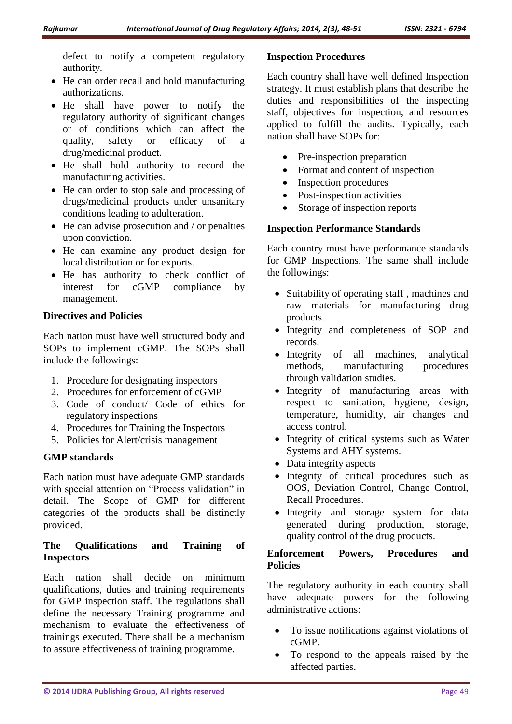defect to notify a competent regulatory authority.

- He can order recall and hold manufacturing authorizations.
- He shall have power to notify the regulatory authority of significant changes or of conditions which can affect the quality, safety or efficacy of a drug/medicinal product.
- He shall hold authority to record the manufacturing activities.
- He can order to stop sale and processing of drugs/medicinal products under unsanitary conditions leading to adulteration.
- $\bullet$  He can advise prosecution and / or penalties upon conviction.
- He can examine any product design for local distribution or for exports.
- He has authority to check conflict of interest for cGMP compliance by management.

# **Directives and Policies**

Each nation must have well structured body and SOPs to implement cGMP. The SOPs shall include the followings:

- 1. Procedure for designating inspectors
- 2. Procedures for enforcement of cGMP
- 3. Code of conduct/ Code of ethics for regulatory inspections
- 4. Procedures for Training the Inspectors
- 5. Policies for Alert/crisis management

# **GMP standards**

Each nation must have adequate GMP standards with special attention on "Process validation" in detail. The Scope of GMP for different categories of the products shall be distinctly provided.

# **The Qualifications and Training of Inspectors**

Each nation shall decide on minimum qualifications, duties and training requirements for GMP inspection staff. The regulations shall define the necessary Training programme and mechanism to evaluate the effectiveness of trainings executed. There shall be a mechanism to assure effectiveness of training programme.

## **Inspection Procedures**

Each country shall have well defined Inspection strategy. It must establish plans that describe the duties and responsibilities of the inspecting staff, objectives for inspection, and resources applied to fulfill the audits. Typically, each nation shall have SOPs for:

- Pre-inspection preparation
- Format and content of inspection
- Inspection procedures
- Post-inspection activities
- Storage of inspection reports

# **Inspection Performance Standards**

Each country must have performance standards for GMP Inspections. The same shall include the followings:

- Suitability of operating staff, machines and raw materials for manufacturing drug products.
- Integrity and completeness of SOP and records.
- Integrity of all machines, analytical methods, manufacturing procedures through validation studies.
- Integrity of manufacturing areas with respect to sanitation, hygiene, design, temperature, humidity, air changes and access control.
- Integrity of critical systems such as Water Systems and AHY systems.
- Data integrity aspects
- Integrity of critical procedures such as OOS, Deviation Control, Change Control, Recall Procedures.
- Integrity and storage system for data generated during production, storage, quality control of the drug products.

# **Enforcement Powers, Procedures and Policies**

The regulatory authority in each country shall have adequate powers for the following administrative actions:

- To issue notifications against violations of cGMP.
- To respond to the appeals raised by the affected parties.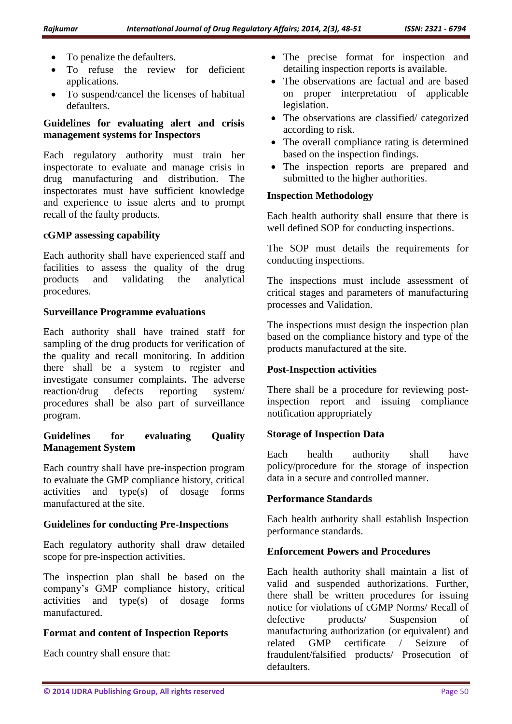- To penalize the defaulters.
- To refuse the review for deficient applications.
- To suspend/cancel the licenses of habitual defaulters.

## **Guidelines for evaluating alert and crisis management systems for Inspectors**

Each regulatory authority must train her inspectorate to evaluate and manage crisis in drug manufacturing and distribution. The inspectorates must have sufficient knowledge and experience to issue alerts and to prompt recall of the faulty products.

### **cGMP assessing capability**

Each authority shall have experienced staff and facilities to assess the quality of the drug products and validating the analytical procedures.

#### **Surveillance Programme evaluations**

Each authority shall have trained staff for sampling of the drug products for verification of the quality and recall monitoring. In addition there shall be a system to register and investigate consumer complaints**.** The adverse reaction/drug defects reporting system/ procedures shall be also part of surveillance program.

### **Guidelines for evaluating Quality Management System**

Each country shall have pre-inspection program to evaluate the GMP compliance history, critical activities and type(s) of dosage forms manufactured at the site.

# **Guidelines for conducting Pre-Inspections**

Each regulatory authority shall draw detailed scope for pre-inspection activities.

The inspection plan shall be based on the company's GMP compliance history, critical activities and type(s) of dosage forms manufactured.

# **Format and content of Inspection Reports**

Each country shall ensure that:

- The precise format for inspection and detailing inspection reports is available.
- The observations are factual and are based on proper interpretation of applicable legislation.
- The observations are classified/ categorized according to risk.
- The overall compliance rating is determined based on the inspection findings.
- The inspection reports are prepared and submitted to the higher authorities.

### **Inspection Methodology**

Each health authority shall ensure that there is well defined SOP for conducting inspections.

The SOP must details the requirements for conducting inspections.

The inspections must include assessment of critical stages and parameters of manufacturing processes and Validation.

The inspections must design the inspection plan based on the compliance history and type of the products manufactured at the site.

# **Post-Inspection activities**

There shall be a procedure for reviewing postinspection report and issuing compliance notification appropriately

#### **Storage of Inspection Data**

Each health authority shall have policy/procedure for the storage of inspection data in a secure and controlled manner.

# **Performance Standards**

Each health authority shall establish Inspection performance standards.

# **Enforcement Powers and Procedures**

Each health authority shall maintain a list of valid and suspended authorizations. Further, there shall be written procedures for issuing notice for violations of cGMP Norms/ Recall of defective products/ Suspension of manufacturing authorization (or equivalent) and related GMP certificate / Seizure of fraudulent/falsified products/ Prosecution of defaulters.